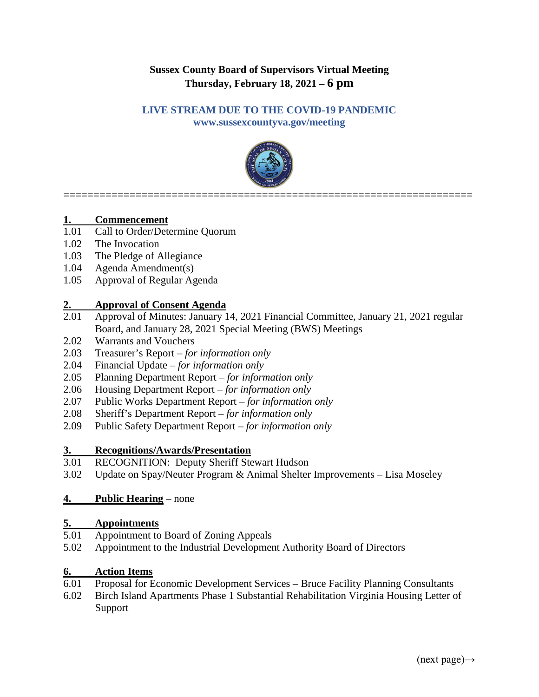## **Sussex County Board of Supervisors Virtual Meeting Thursday, February 18, 2021 – 6 pm**

#### **LIVE STREAM DUE TO THE COVID-19 PANDEMIC**

**www.sussexcountyva.gov/meeting**



**====================================================================**

# **1. Commencement**<br>1.01 Call to Order/Dete

- Call to Order/Determine Quorum
- 1.02 The Invocation
- 1.03 The Pledge of Allegiance
- 1.04 Agenda Amendment(s)
- 1.05 Approval of Regular Agenda

#### **2. Approval of Consent Agenda**

- 2.01 Approval of Minutes: January 14, 2021 Financial Committee, January 21, 2021 regular Board, and January 28, 2021 Special Meeting (BWS) Meetings
- 2.02 Warrants and Vouchers
- 2.03 Treasurer's Report *for information only*
- 2.04 Financial Update *for information only*
- 2.05 Planning Department Report *for information only*
- 2.06 Housing Department Report *for information only*
- 2.07 Public Works Department Report *for information only*
- 2.08 Sheriff's Department Report *for information only*
- 2.09 Public Safety Department Report *for information only*

#### **3. Recognitions/Awards/Presentation**

- 3.01 RECOGNITION: Deputy Sheriff Stewart Hudson
- 3.02 Update on Spay/Neuter Program & Animal Shelter Improvements Lisa Moseley

### **4. Public Hearing** – none

## **5. Appointments**

- Appointment to Board of Zoning Appeals
- 5.02 Appointment to the Industrial Development Authority Board of Directors

#### **6. Action Items**

- 6.01 Proposal for Economic Development Services Bruce Facility Planning Consultants
- 6.02 Birch Island Apartments Phase 1 Substantial Rehabilitation Virginia Housing Letter of Support